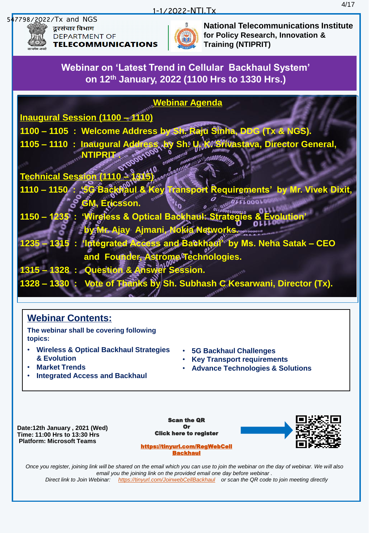## 1-1/2022-NTI.Tx



दुरसंचार विभाग DEPARTMENT OF **TELECOMMUNICATIONS** 



**National Telecommunications Institute for Policy Research, Innovation & Training (NTIPRIT)**

**Webinar on 'Latest Trend in Cellular Backhaul System' on 12th January, 2022 (1100 Hrs to 1330 Hrs.)**

# **Webinar Agenda**

**Inaugural Session (1100 – 1110)**

**1100 – 1105 : Welcome Address by Sh. Raju Sinha, DDG (Tx & NGS).**

**1105 – 1110 : Inaugural Address by Sh. U. K. Srivastava, Director General,** *<b>NTIPRITA* 

**Technical Session (1110 –** 

- **1110 – 1150 : '5G Backhaul & Key Transport Requirements' by Mr. Vivek Dixit, Ericsson**
- **1150 – 1235 : 'Wireless & Optical Backhaul: Strategies & Evolution' by Mr. Ajay Ajmani, Nokia Networks.**
- **1235 – 1315 : 'Integrated Access and Backhaul' by Ms. Neha Satak – CEO and Founder, Astrome Technologies.**
- **1315 – 1328 : Question & Answer Session.**

of Thanks by Sh. Subhash C Kesarwani, Director (Tx).

# **Webinar Contents:**

**The webinar shall be covering following topics:**

- **Wireless & Optical Backhaul Strategies & Evolution**
- **Market Trends**
- **Integrated Access and Backhaul**
- **5G Backhaul Challenges**
- **Key Transport requirements**
- **Advance Technologies & Solutions**

**Date:12th January , 2021 (Wed) Time: 11:00 Hrs to 13:30 Hrs Platform: Microsoft Teams**

Scan the QR Or Click here to register



[https://tinyurl.com/RegWebCell](https://tinyurl.com/RegWebCellBackhaul) [Backhaul](https://tinyurl.com/RegWebCellBackhaul)

*Once you register, joining link will be shared on the email which you can use to join the webinar on the day of webinar. We will also email you the joining link on the provided email one day before webinar . Direct link to Join Webinar: <https://tinyurl.com/JoinwebCellBackhaul> or scan the QR code to join meeting directly*